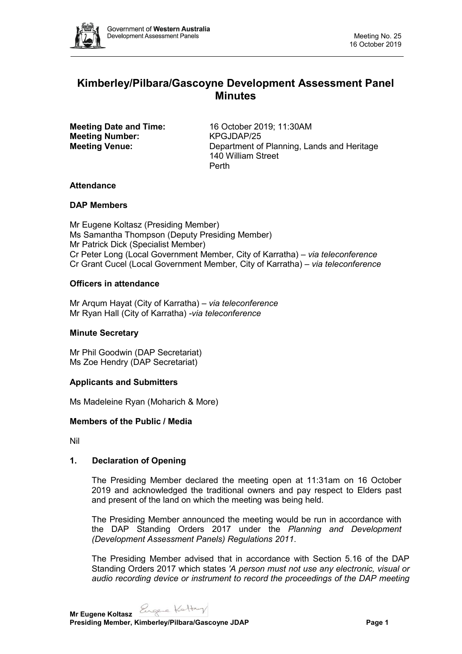

# **Kimberley/Pilbara/Gascoyne Development Assessment Panel Minutes**

**Meeting Number:** KPGJDAP/25

**Meeting Date and Time:** 16 October 2019; 11:30AM **Meeting Venue:** Department of Planning, Lands and Heritage 140 William Street Perth

# **Attendance**

# **DAP Members**

Mr Eugene Koltasz (Presiding Member) Ms Samantha Thompson (Deputy Presiding Member) Mr Patrick Dick (Specialist Member) Cr Peter Long (Local Government Member, City of Karratha) *– via teleconference* Cr Grant Cucel (Local Government Member, City of Karratha) *– via teleconference*

# **Officers in attendance**

Mr Arqum Hayat (City of Karratha) *– via teleconference* Mr Ryan Hall (City of Karratha) *-via teleconference*

# **Minute Secretary**

Mr Phil Goodwin (DAP Secretariat) Ms Zoe Hendry (DAP Secretariat)

# **Applicants and Submitters**

Ms Madeleine Ryan (Moharich & More)

# **Members of the Public / Media**

Nil

# **1. Declaration of Opening**

The Presiding Member declared the meeting open at 11:31am on 16 October 2019 and acknowledged the traditional owners and pay respect to Elders past and present of the land on which the meeting was being held.

The Presiding Member announced the meeting would be run in accordance with the DAP Standing Orders 2017 under the *Planning and Development (Development Assessment Panels) Regulations 2011*.

The Presiding Member advised that in accordance with Section 5.16 of the DAP Standing Orders 2017 which states *'A person must not use any electronic, visual or audio recording device or instrument to record the proceedings of the DAP meeting* 

**Mr Eugene Koltasz Presiding Member, Kimberley/Pilbara/Gascoyne JDAP Page 1**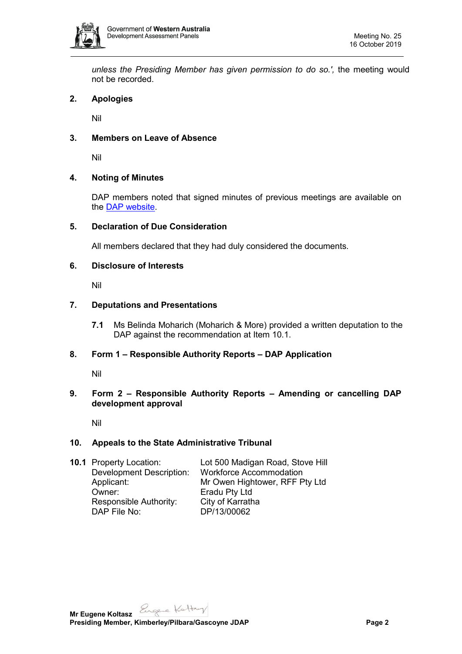

*unless the Presiding Member has given permission to do so.',* the meeting would not be recorded.

# **2. Apologies**

Nil

### **3. Members on Leave of Absence**

Nil

### **4. Noting of Minutes**

DAP members noted that signed minutes of previous meetings are available on the [DAP website.](https://www.dplh.wa.gov.au/about/development-assessment-panels/daps-agendas-and-minutes)

#### **5. Declaration of Due Consideration**

All members declared that they had duly considered the documents.

#### **6. Disclosure of Interests**

Nil

### **7. Deputations and Presentations**

**7.1** Ms Belinda Moharich (Moharich & More) provided a written deputation to the DAP against the recommendation at Item 10.1.

# **8. Form 1 – Responsible Authority Reports – DAP Application**

Nil

# **9. Form 2 – Responsible Authority Reports – Amending or cancelling DAP development approval**

Nil

#### **10. Appeals to the State Administrative Tribunal**

| <b>10.1 Property Location:</b> | Lot 500 Madigan Road, Stove Hill<br><b>Workforce Accommodation</b> |
|--------------------------------|--------------------------------------------------------------------|
| Applicant:                     | Mr Owen Hightower, RFF Pty Ltd                                     |
| Owner:                         | Eradu Pty Ltd                                                      |
| Responsible Authority:         | City of Karratha                                                   |
| DAP File No:                   | DP/13/00062                                                        |
|                                | <b>Development Description:</b>                                    |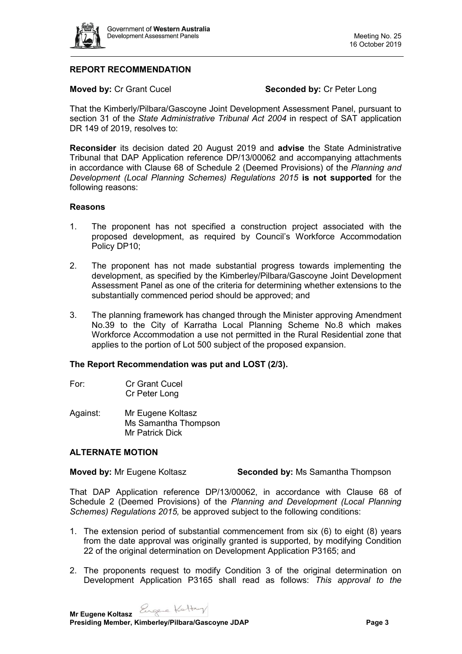

# **REPORT RECOMMENDATION**

**Moved by: Cr Grant Cucel <b>Seconded by: Cr Peter Long** 

That the Kimberly/Pilbara/Gascoyne Joint Development Assessment Panel, pursuant to section 31 of the *State Administrative Tribunal Act 2004* in respect of SAT application DR 149 of 2019, resolves to:

**Reconsider** its decision dated 20 August 2019 and **advise** the State Administrative Tribunal that DAP Application reference DP/13/00062 and accompanying attachments in accordance with Clause 68 of Schedule 2 (Deemed Provisions) of the *Planning and Development (Local Planning Schemes) Regulations 2015* **is not supported** for the following reasons:

### **Reasons**

- 1. The proponent has not specified a construction project associated with the proposed development, as required by Council's Workforce Accommodation Policy DP10;
- 2. The proponent has not made substantial progress towards implementing the development, as specified by the Kimberley/Pilbara/Gascoyne Joint Development Assessment Panel as one of the criteria for determining whether extensions to the substantially commenced period should be approved; and
- 3. The planning framework has changed through the Minister approving Amendment No.39 to the City of Karratha Local Planning Scheme No.8 which makes Workforce Accommodation a use not permitted in the Rural Residential zone that applies to the portion of Lot 500 subject of the proposed expansion.

#### **The Report Recommendation was put and LOST (2/3).**

- For: Cr Grant Cucel Cr Peter Long
- Against: Mr Eugene Koltasz Ms Samantha Thompson Mr Patrick Dick

# **ALTERNATE MOTION**

**Moved by:** Mr Eugene Koltasz **Seconded by: Ms Samantha Thompson** 

That DAP Application reference DP/13/00062, in accordance with Clause 68 of Schedule 2 (Deemed Provisions) of the *Planning and Development (Local Planning Schemes) Regulations 2015,* be approved subject to the following conditions:

- 1. The extension period of substantial commencement from six (6) to eight (8) years from the date approval was originally granted is supported, by modifying Condition 22 of the original determination on Development Application P3165; and
- 2. The proponents request to modify Condition 3 of the original determination on Development Application P3165 shall read as follows: *This approval to the*